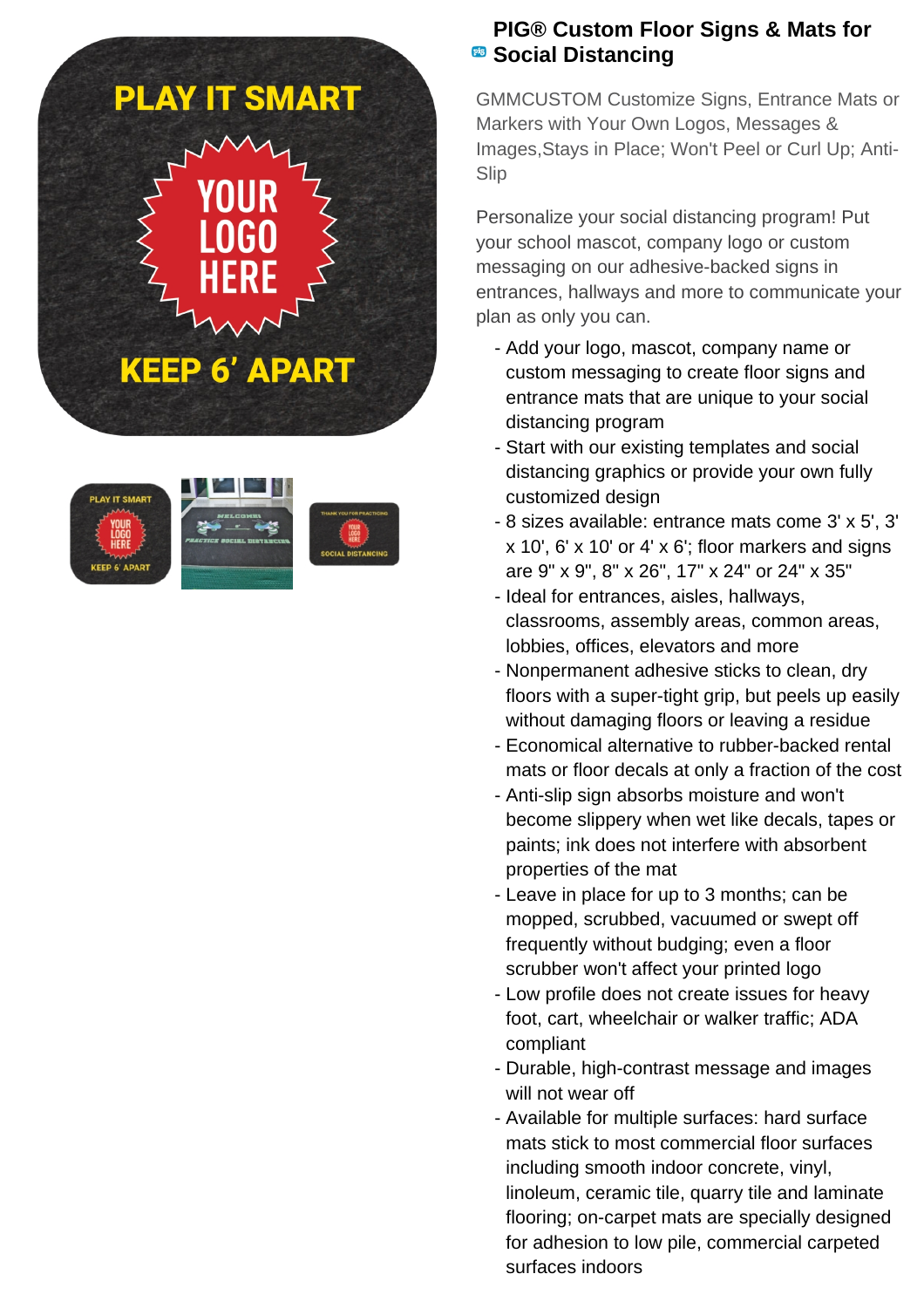







## **PIG® Custom Floor Signs & Mats for B** Social Distancing

GMMCUSTOM Customize Signs, Entrance Mats or Markers with Your Own Logos, Messages & Images,Stays in Place; Won't Peel or Curl Up; Anti-Slip

Personalize your social distancing program! Put your school mascot, company logo or custom messaging on our adhesive-backed signs in entrances, hallways and more to communicate your plan as only you can.

- Add your logo, mascot, company name or custom messaging to create floor signs and entrance mats that are unique to your social distancing program
- Start with our existing templates and social distancing graphics or provide your own fully customized design
- 8 sizes available: entrance mats come 3' x 5', 3' x 10', 6' x 10' or 4' x 6'; floor markers and signs are 9" x 9", 8" x 26", 17" x 24" or 24" x 35"
- Ideal for entrances, aisles, hallways, classrooms, assembly areas, common areas, lobbies, offices, elevators and more
- Nonpermanent adhesive sticks to clean, dry floors with a super-tight grip, but peels up easily without damaging floors or leaving a residue
- Economical alternative to rubber-backed rental mats or floor decals at only a fraction of the cost
- Anti-slip sign absorbs moisture and won't become slippery when wet like decals, tapes or paints; ink does not interfere with absorbent properties of the mat
- Leave in place for up to 3 months; can be mopped, scrubbed, vacuumed or swept off frequently without budging; even a floor scrubber won't affect your printed logo
- Low profile does not create issues for heavy foot, cart, wheelchair or walker traffic; ADA compliant
- Durable, high-contrast message and images will not wear off
- Available for multiple surfaces: hard surface mats stick to most commercial floor surfaces including smooth indoor concrete, vinyl, linoleum, ceramic tile, quarry tile and laminate flooring; on-carpet mats are specially designed for adhesion to low pile, commercial carpeted surfaces indoors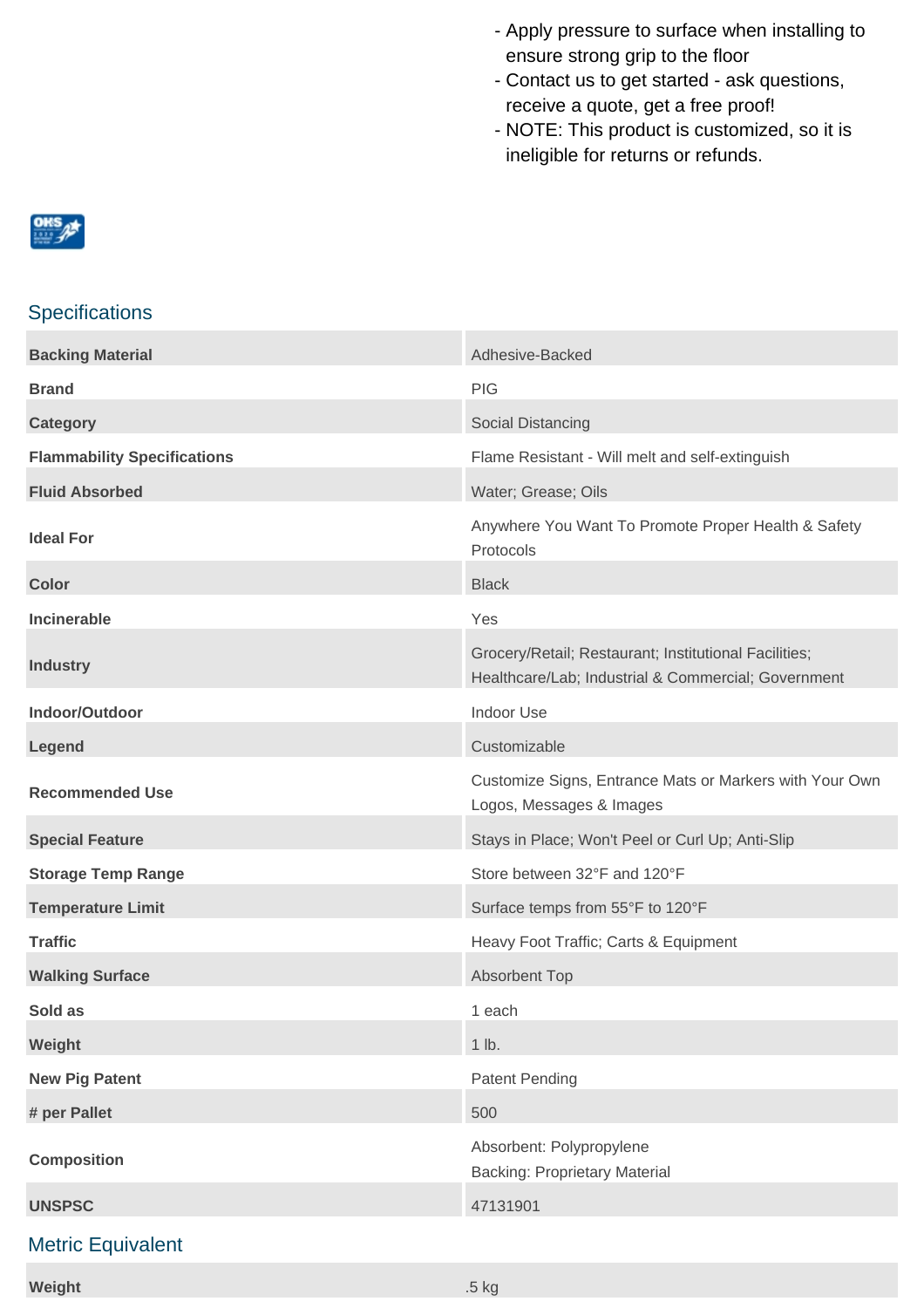- Apply pressure to surface when installing to ensure strong grip to the floor
- Contact us to get started ask questions, receive a quote, get a free proof!
- NOTE: This product is customized, so it is ineligible for returns or refunds.



## **Specifications**

| <b>Backing Material</b>            | Adhesive-Backed                                                                                              |
|------------------------------------|--------------------------------------------------------------------------------------------------------------|
| <b>Brand</b>                       | <b>PIG</b>                                                                                                   |
| <b>Category</b>                    | Social Distancing                                                                                            |
| <b>Flammability Specifications</b> | Flame Resistant - Will melt and self-extinguish                                                              |
| <b>Fluid Absorbed</b>              | Water; Grease; Oils                                                                                          |
| <b>Ideal For</b>                   | Anywhere You Want To Promote Proper Health & Safety<br>Protocols                                             |
| <b>Color</b>                       | <b>Black</b>                                                                                                 |
| <b>Incinerable</b>                 | Yes                                                                                                          |
| <b>Industry</b>                    | Grocery/Retail; Restaurant; Institutional Facilities;<br>Healthcare/Lab; Industrial & Commercial; Government |
| Indoor/Outdoor                     | <b>Indoor Use</b>                                                                                            |
| Legend                             | Customizable                                                                                                 |
| <b>Recommended Use</b>             | Customize Signs, Entrance Mats or Markers with Your Own<br>Logos, Messages & Images                          |
| <b>Special Feature</b>             | Stays in Place; Won't Peel or Curl Up; Anti-Slip                                                             |
| <b>Storage Temp Range</b>          | Store between 32°F and 120°F                                                                                 |
| <b>Temperature Limit</b>           | Surface temps from 55°F to 120°F                                                                             |
| <b>Traffic</b>                     | Heavy Foot Traffic; Carts & Equipment                                                                        |
| <b>Walking Surface</b>             | <b>Absorbent Top</b>                                                                                         |
| Sold as                            | 1 each                                                                                                       |
| Weight                             | 1 lb.                                                                                                        |
| <b>New Pig Patent</b>              | <b>Patent Pending</b>                                                                                        |
| # per Pallet                       | 500                                                                                                          |
| <b>Composition</b>                 | Absorbent: Polypropylene<br><b>Backing: Proprietary Material</b>                                             |
| <b>UNSPSC</b>                      | 47131901                                                                                                     |
|                                    |                                                                                                              |

## Metric Equivalent

**Weight** .5 kg